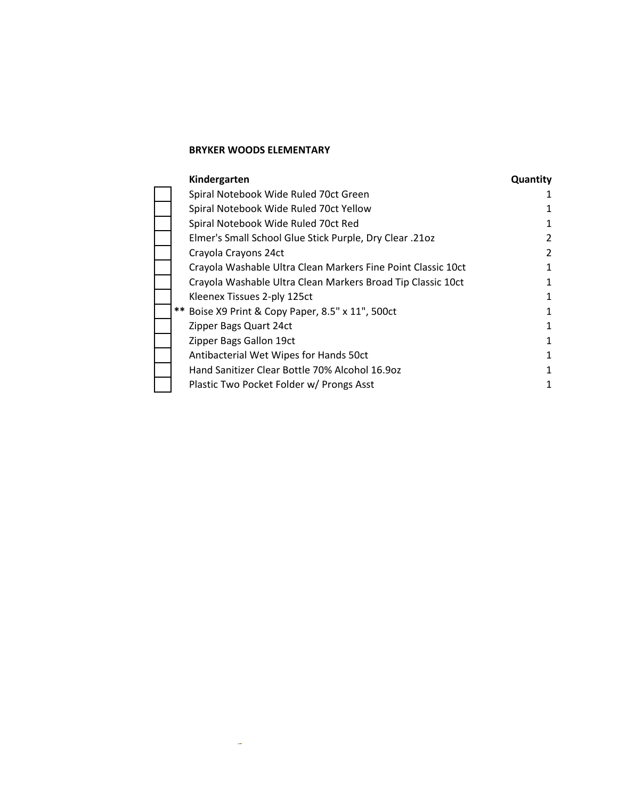÷,

| Kindergarten                                                 | Quantity |
|--------------------------------------------------------------|----------|
| Spiral Notebook Wide Ruled 70ct Green                        |          |
| Spiral Notebook Wide Ruled 70ct Yellow                       |          |
| Spiral Notebook Wide Ruled 70ct Red                          |          |
| Elmer's Small School Glue Stick Purple, Dry Clear .21oz      | 2        |
| Crayola Crayons 24ct                                         | 2        |
| Crayola Washable Ultra Clean Markers Fine Point Classic 10ct |          |
| Crayola Washable Ultra Clean Markers Broad Tip Classic 10ct  | 1        |
| Kleenex Tissues 2-ply 125ct                                  | 1        |
| ** Boise X9 Print & Copy Paper, 8.5" x 11", 500ct            | 1        |
| Zipper Bags Quart 24ct                                       | 1        |
| Zipper Bags Gallon 19ct                                      | 1        |
| Antibacterial Wet Wipes for Hands 50ct                       | 1        |
| Hand Sanitizer Clear Bottle 70% Alcohol 16.9oz               | 1        |
| Plastic Two Pocket Folder w/ Prongs Asst                     |          |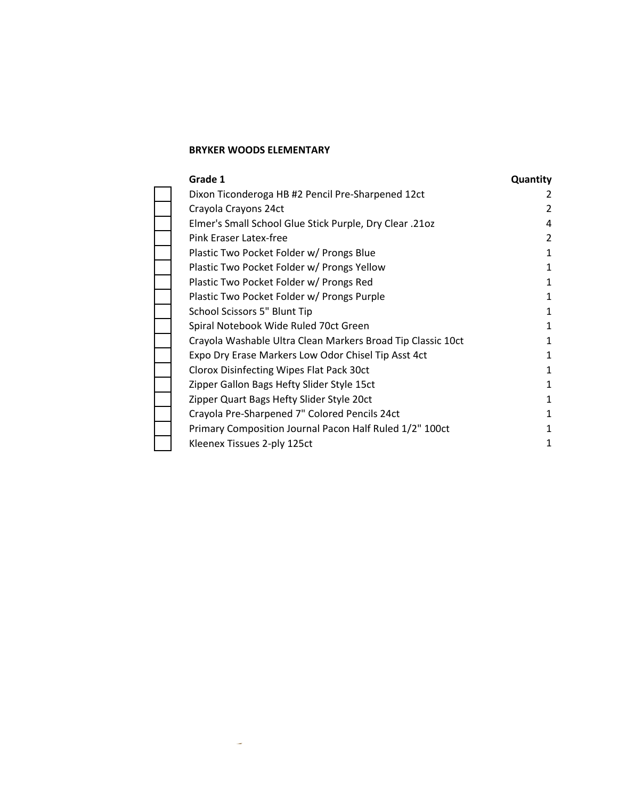÷

| Grade 1                                                     | <b>Quantity</b> |
|-------------------------------------------------------------|-----------------|
| Dixon Ticonderoga HB #2 Pencil Pre-Sharpened 12ct           | 2               |
| Crayola Crayons 24ct                                        | 2               |
| Elmer's Small School Glue Stick Purple, Dry Clear .21oz     | 4               |
| Pink Eraser Latex-free                                      | 2               |
| Plastic Two Pocket Folder w/ Prongs Blue                    | 1               |
| Plastic Two Pocket Folder w/ Prongs Yellow                  | 1               |
| Plastic Two Pocket Folder w/ Prongs Red                     | 1               |
| Plastic Two Pocket Folder w/ Prongs Purple                  | 1               |
| School Scissors 5" Blunt Tip                                |                 |
| Spiral Notebook Wide Ruled 70ct Green                       |                 |
| Crayola Washable Ultra Clean Markers Broad Tip Classic 10ct | 1               |
| Expo Dry Erase Markers Low Odor Chisel Tip Asst 4ct         | 1               |
| Clorox Disinfecting Wipes Flat Pack 30ct                    | 1               |
| Zipper Gallon Bags Hefty Slider Style 15ct                  | 1               |
| Zipper Quart Bags Hefty Slider Style 20ct                   |                 |
| Crayola Pre-Sharpened 7" Colored Pencils 24ct               |                 |
| Primary Composition Journal Pacon Half Ruled 1/2" 100ct     |                 |
| Kleenex Tissues 2-ply 125ct                                 | 1               |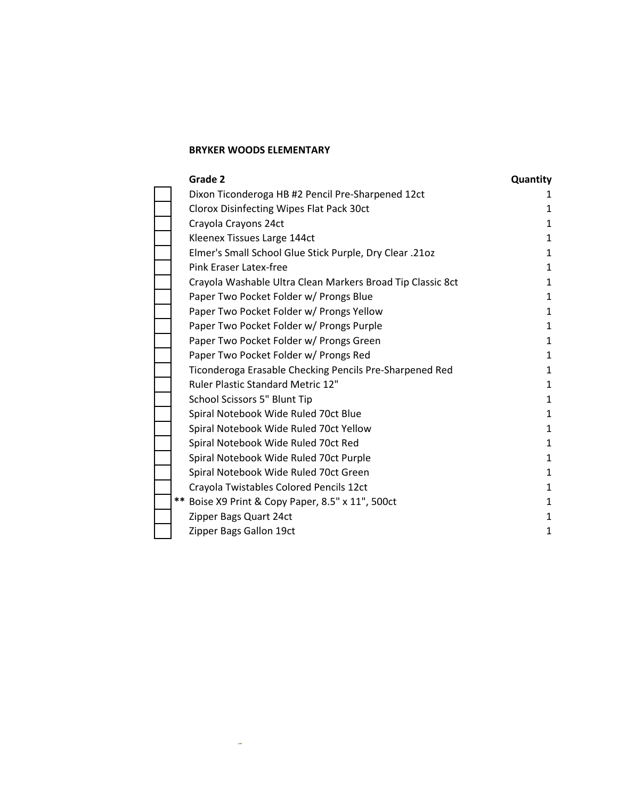÷

| Grade 2                                                    | Quantity     |
|------------------------------------------------------------|--------------|
| Dixon Ticonderoga HB #2 Pencil Pre-Sharpened 12ct          |              |
| Clorox Disinfecting Wipes Flat Pack 30ct                   | 1            |
| Crayola Crayons 24ct                                       | 1            |
| Kleenex Tissues Large 144ct                                | 1            |
| Elmer's Small School Glue Stick Purple, Dry Clear .21oz    | 1            |
| Pink Eraser Latex-free                                     | 1            |
| Crayola Washable Ultra Clean Markers Broad Tip Classic 8ct | 1            |
| Paper Two Pocket Folder w/ Prongs Blue                     | 1            |
| Paper Two Pocket Folder w/ Prongs Yellow                   | 1            |
| Paper Two Pocket Folder w/ Prongs Purple                   | $\mathbf{1}$ |
| Paper Two Pocket Folder w/ Prongs Green                    | 1            |
| Paper Two Pocket Folder w/ Prongs Red                      | $\mathbf{1}$ |
| Ticonderoga Erasable Checking Pencils Pre-Sharpened Red    | 1            |
| <b>Ruler Plastic Standard Metric 12"</b>                   | 1            |
| School Scissors 5" Blunt Tip                               | 1            |
| Spiral Notebook Wide Ruled 70ct Blue                       | 1            |
| Spiral Notebook Wide Ruled 70ct Yellow                     | 1            |
| Spiral Notebook Wide Ruled 70ct Red                        | $\mathbf{1}$ |
| Spiral Notebook Wide Ruled 70ct Purple                     | 1            |
| Spiral Notebook Wide Ruled 70ct Green                      | 1            |
| Crayola Twistables Colored Pencils 12ct                    | 1            |
| ** Boise X9 Print & Copy Paper, 8.5" x 11", 500ct          | 1            |
| Zipper Bags Quart 24ct                                     | 1            |
| Zipper Bags Gallon 19ct                                    | 1            |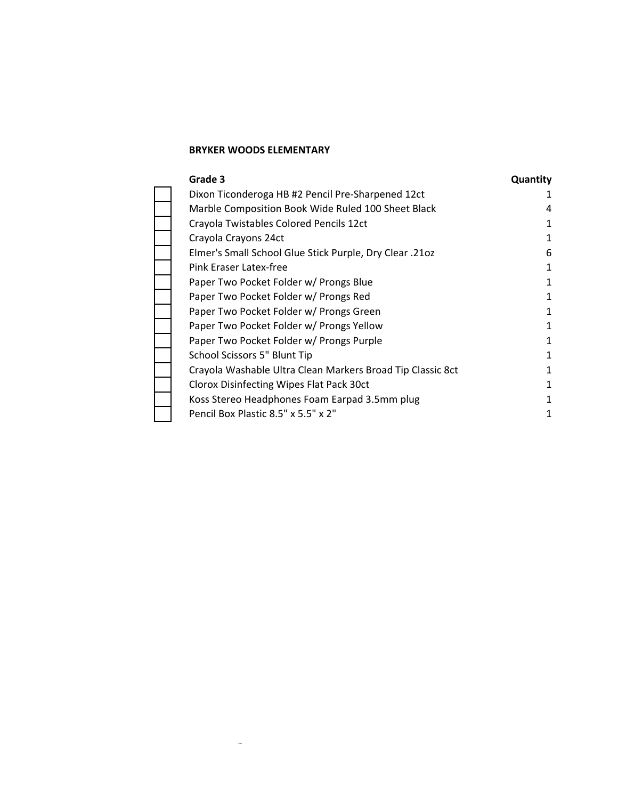$\overline{\phantom{a}}$ 

| Grade 3                                                    | Quantity |
|------------------------------------------------------------|----------|
| Dixon Ticonderoga HB #2 Pencil Pre-Sharpened 12ct          |          |
| Marble Composition Book Wide Ruled 100 Sheet Black         | 4        |
| Crayola Twistables Colored Pencils 12ct                    | 1        |
| Crayola Crayons 24ct                                       |          |
| Elmer's Small School Glue Stick Purple, Dry Clear .21oz    | 6        |
| Pink Eraser Latex-free                                     |          |
| Paper Two Pocket Folder w/ Prongs Blue                     |          |
| Paper Two Pocket Folder w/ Prongs Red                      | 1        |
| Paper Two Pocket Folder w/ Prongs Green                    |          |
| Paper Two Pocket Folder w/ Prongs Yellow                   | 1        |
| Paper Two Pocket Folder w/ Prongs Purple                   |          |
| School Scissors 5" Blunt Tip                               |          |
| Crayola Washable Ultra Clean Markers Broad Tip Classic 8ct | 1        |
| Clorox Disinfecting Wipes Flat Pack 30ct                   |          |
| Koss Stereo Headphones Foam Earpad 3.5mm plug              |          |
| Pencil Box Plastic 8.5" x 5.5" x 2"                        |          |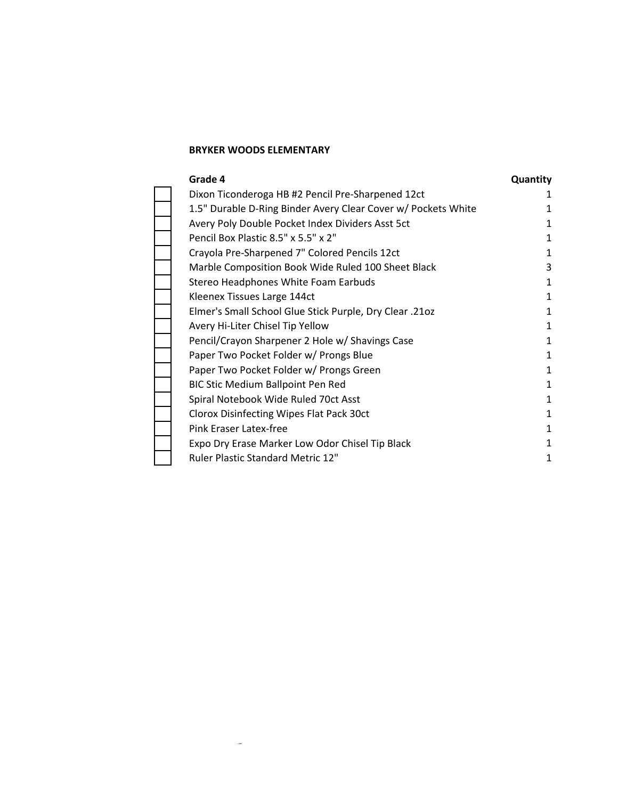÷

| Grade 4                                                       | Quantity |
|---------------------------------------------------------------|----------|
| Dixon Ticonderoga HB #2 Pencil Pre-Sharpened 12ct             |          |
| 1.5" Durable D-Ring Binder Avery Clear Cover w/ Pockets White |          |
| Avery Poly Double Pocket Index Dividers Asst 5ct              |          |
| Pencil Box Plastic 8.5" x 5.5" x 2"                           |          |
| Crayola Pre-Sharpened 7" Colored Pencils 12ct                 |          |
| Marble Composition Book Wide Ruled 100 Sheet Black            | 3        |
| Stereo Headphones White Foam Earbuds                          | 1        |
| Kleenex Tissues Large 144ct                                   |          |
| Elmer's Small School Glue Stick Purple, Dry Clear .21oz       |          |
| Avery Hi-Liter Chisel Tip Yellow                              | 1        |
| Pencil/Crayon Sharpener 2 Hole w/ Shavings Case               |          |
| Paper Two Pocket Folder w/ Prongs Blue                        |          |
| Paper Two Pocket Folder w/ Prongs Green                       |          |
| BIC Stic Medium Ballpoint Pen Red                             | 1        |
| Spiral Notebook Wide Ruled 70ct Asst                          | 1        |
| Clorox Disinfecting Wipes Flat Pack 30ct                      |          |
| Pink Eraser Latex-free                                        |          |
| Expo Dry Erase Marker Low Odor Chisel Tip Black               | 1        |
| <b>Ruler Plastic Standard Metric 12"</b>                      |          |